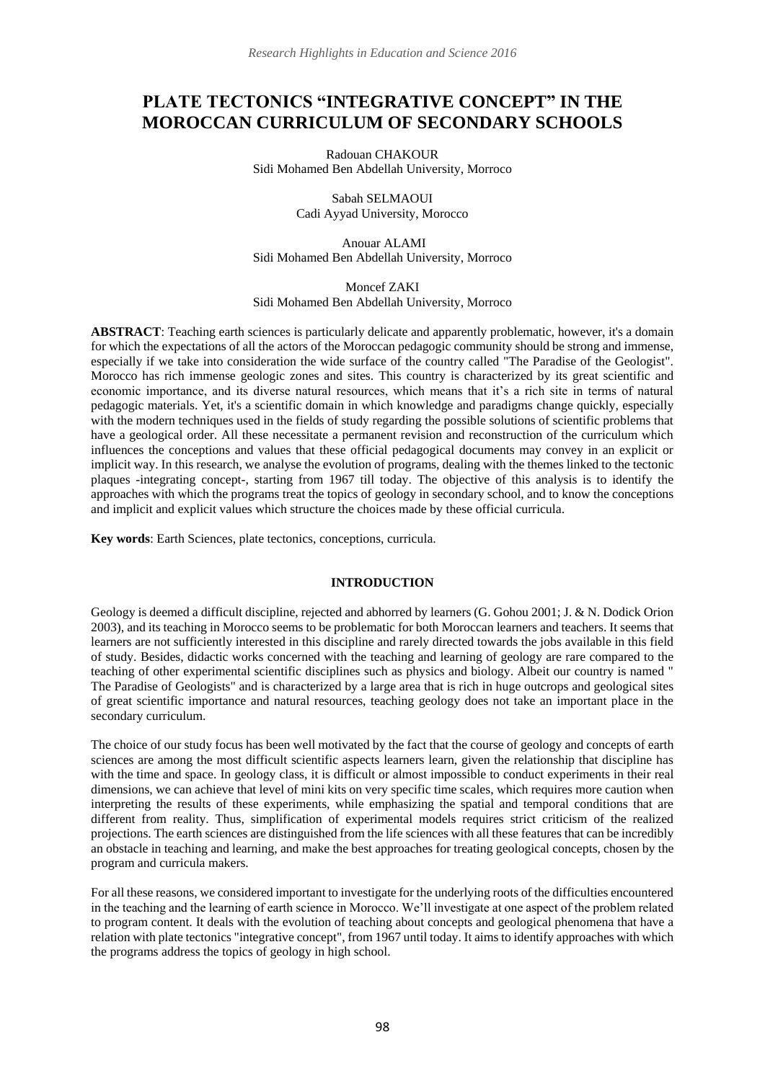# **PLATE TECTONICS "INTEGRATIVE CONCEPT" IN THE MOROCCAN CURRICULUM OF SECONDARY SCHOOLS**

Radouan CHAKOUR Sidi Mohamed Ben Abdellah University, Morroco

> Sabah SELMAOUI Cadi Ayyad University, Morocco

Anouar ALAMI Sidi Mohamed Ben Abdellah University, Morroco

Moncef ZAKI Sidi Mohamed Ben Abdellah University, Morroco

**ABSTRACT**: Teaching earth sciences is particularly delicate and apparently problematic, however, it's a domain for which the expectations of all the actors of the Moroccan pedagogic community should be strong and immense, especially if we take into consideration the wide surface of the country called "The Paradise of the Geologist". Morocco has rich immense geologic zones and sites. This country is characterized by its great scientific and economic importance, and its diverse natural resources, which means that it's a rich site in terms of natural pedagogic materials. Yet, it's a scientific domain in which knowledge and paradigms change quickly, especially with the modern techniques used in the fields of study regarding the possible solutions of scientific problems that have a geological order. All these necessitate a permanent revision and reconstruction of the curriculum which influences the conceptions and values that these official pedagogical documents may convey in an explicit or implicit way. In this research, we analyse the evolution of programs, dealing with the themes linked to the tectonic plaques -integrating concept-, starting from 1967 till today. The objective of this analysis is to identify the approaches with which the programs treat the topics of geology in secondary school, and to know the conceptions and implicit and explicit values which structure the choices made by these official curricula.

**Key words**: Earth Sciences, plate tectonics, conceptions, curricula.

## **INTRODUCTION**

Geology is deemed a difficult discipline, rejected and abhorred by learners (G. Gohou 2001; J. & N. Dodick Orion 2003), and its teaching in Morocco seems to be problematic for both Moroccan learners and teachers. It seems that learners are not sufficiently interested in this discipline and rarely directed towards the jobs available in this field of study. Besides, didactic works concerned with the teaching and learning of geology are rare compared to the teaching of other experimental scientific disciplines such as physics and biology. Albeit our country is named " The Paradise of Geologists" and is characterized by a large area that is rich in huge outcrops and geological sites of great scientific importance and natural resources, teaching geology does not take an important place in the secondary curriculum.

The choice of our study focus has been well motivated by the fact that the course of geology and concepts of earth sciences are among the most difficult scientific aspects learners learn, given the relationship that discipline has with the time and space. In geology class, it is difficult or almost impossible to conduct experiments in their real dimensions, we can achieve that level of mini kits on very specific time scales, which requires more caution when interpreting the results of these experiments, while emphasizing the spatial and temporal conditions that are different from reality. Thus, simplification of experimental models requires strict criticism of the realized projections. The earth sciences are distinguished from the life sciences with all these features that can be incredibly an obstacle in teaching and learning, and make the best approaches for treating geological concepts, chosen by the program and curricula makers.

For all these reasons, we considered important to investigate for the underlying roots of the difficulties encountered in the teaching and the learning of earth science in Morocco. We'll investigate at one aspect of the problem related to program content. It deals with the evolution of teaching about concepts and geological phenomena that have a relation with plate tectonics "integrative concept", from 1967 until today. It aims to identify approaches with which the programs address the topics of geology in high school.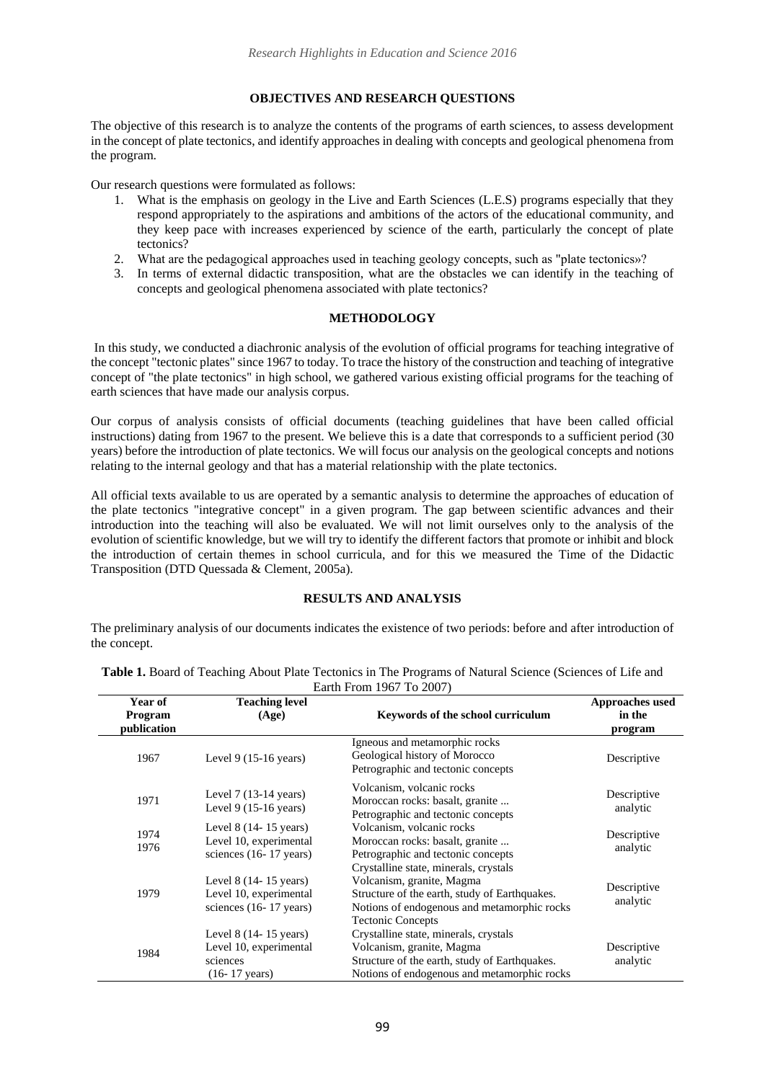## **OBJECTIVES AND RESEARCH QUESTIONS**

The objective of this research is to analyze the contents of the programs of earth sciences, to assess development in the concept of plate tectonics, and identify approaches in dealing with concepts and geological phenomena from the program.

Our research questions were formulated as follows:

- 1. What is the emphasis on geology in the Live and Earth Sciences (L.E.S) programs especially that they respond appropriately to the aspirations and ambitions of the actors of the educational community, and they keep pace with increases experienced by science of the earth, particularly the concept of plate tectonics?
- 2. What are the pedagogical approaches used in teaching geology concepts, such as "plate tectonics»?
- 3. In terms of external didactic transposition, what are the obstacles we can identify in the teaching of concepts and geological phenomena associated with plate tectonics?

## **METHODOLOGY**

In this study, we conducted a diachronic analysis of the evolution of official programs for teaching integrative of the concept "tectonic plates" since 1967 to today. To trace the history of the construction and teaching of integrative concept of "the plate tectonics" in high school, we gathered various existing official programs for the teaching of earth sciences that have made our analysis corpus.

Our corpus of analysis consists of official documents (teaching guidelines that have been called official instructions) dating from 1967 to the present. We believe this is a date that corresponds to a sufficient period (30 years) before the introduction of plate tectonics. We will focus our analysis on the geological concepts and notions relating to the internal geology and that has a material relationship with the plate tectonics.

All official texts available to us are operated by a semantic analysis to determine the approaches of education of the plate tectonics "integrative concept" in a given program. The gap between scientific advances and their introduction into the teaching will also be evaluated. We will not limit ourselves only to the analysis of the evolution of scientific knowledge, but we will try to identify the different factors that promote or inhibit and block the introduction of certain themes in school curricula, and for this we measured the Time of the Didactic Transposition (DTD Quessada & Clement, 2005a).

## **RESULTS AND ANALYSIS**

The preliminary analysis of our documents indicates the existence of two periods: before and after introduction of the concept.

| Year of<br><b>Program</b><br>publication | <b>Teaching level</b><br>(Age)                                                                  | Keywords of the school curriculum                                                                                                                                                              | <b>Approaches</b> used<br>in the<br>program |
|------------------------------------------|-------------------------------------------------------------------------------------------------|------------------------------------------------------------------------------------------------------------------------------------------------------------------------------------------------|---------------------------------------------|
| 1967                                     | Level 9 $(15-16 \text{ years})$                                                                 | Igneous and metamorphic rocks<br>Geological history of Morocco<br>Petrographic and tectonic concepts                                                                                           | Descriptive                                 |
| 1971                                     | Level $7(13-14 \text{ years})$<br>Level 9 $(15-16 \text{ years})$                               | Volcanism, volcanic rocks<br>Moroccan rocks: basalt, granite<br>Petrographic and tectonic concepts                                                                                             | Descriptive<br>analytic                     |
| 1974<br>1976                             | Level $8(14-15 \text{ years})$<br>Level 10, experimental<br>sciences $(16-17 \text{ years})$    | Volcanism, volcanic rocks<br>Moroccan rocks: basalt, granite<br>Petrographic and tectonic concepts                                                                                             | Descriptive<br>analytic                     |
| 1979                                     | Level $8(14-15 \text{ years})$<br>Level 10, experimental<br>sciences (16-17 years)              | Crystalline state, minerals, crystals<br>Volcanism, granite, Magma<br>Structure of the earth, study of Earthquakes.<br>Notions of endogenous and metamorphic rocks<br><b>Tectonic Concepts</b> | Descriptive<br>analytic                     |
| 1984                                     | Level $8(14-15 \text{ years})$<br>Level 10, experimental<br>sciences<br>$(16-17 \text{ years})$ | Crystalline state, minerals, crystals<br>Volcanism, granite, Magma<br>Structure of the earth, study of Earthquakes.<br>Notions of endogenous and metamorphic rocks                             | Descriptive<br>analytic                     |

**Table 1.** Board of Teaching About Plate Tectonics in The Programs of Natural Science (Sciences of Life and Earth From  $1067$  To  $2007$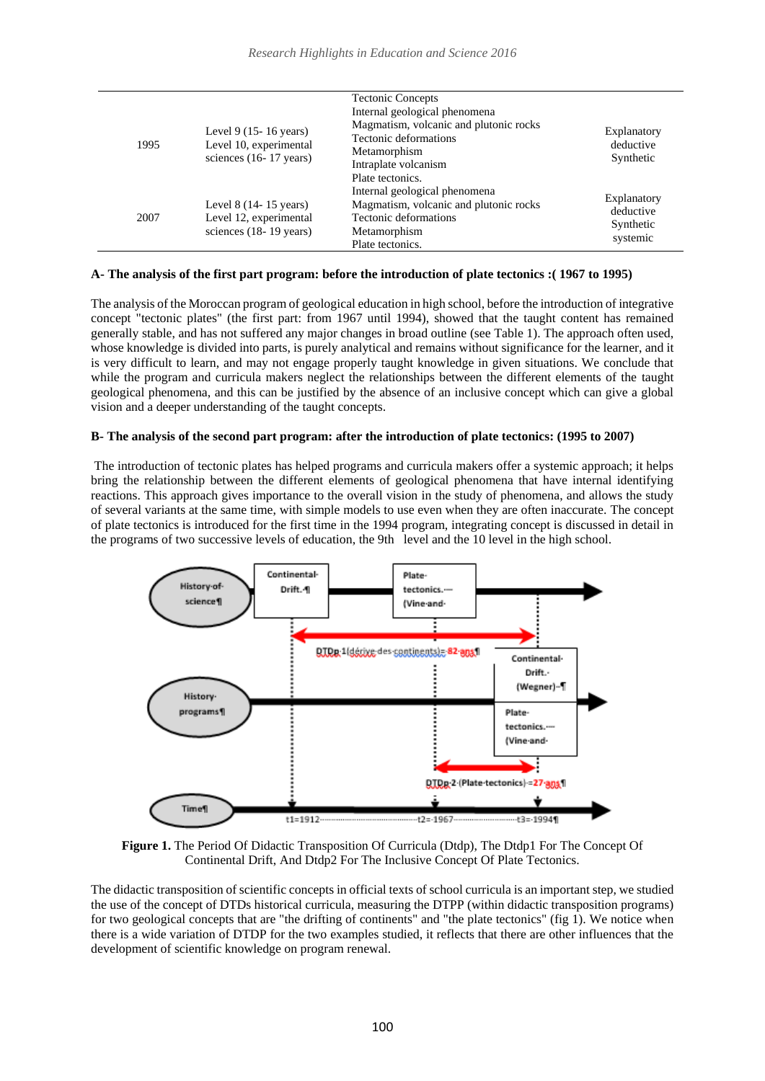| 1995 | Level 9 $(15-16 \text{ years})$<br>Level 10, experimental<br>sciences $(16-17 \text{ years})$ | <b>Tectonic Concepts</b><br>Internal geological phenomena<br>Magmatism, volcanic and plutonic rocks<br>Tectonic deformations<br>Metamorphism<br>Intraplate volcanism<br>Plate tectonics. | Explanatory<br>deductive<br>Synthetic             |
|------|-----------------------------------------------------------------------------------------------|------------------------------------------------------------------------------------------------------------------------------------------------------------------------------------------|---------------------------------------------------|
| 2007 | Level $8(14-15 \text{ years})$<br>Level 12, experimental<br>sciences $(18-19 \text{ years})$  | Internal geological phenomena<br>Magmatism, volcanic and plutonic rocks<br>Tectonic deformations<br>Metamorphism<br>Plate tectonics.                                                     | Explanatory<br>deductive<br>Synthetic<br>systemic |

#### **A- The analysis of the first part program: before the introduction of plate tectonics :( 1967 to 1995)**

The analysis of the Moroccan program of geological education in high school, before the introduction of integrative concept "tectonic plates" (the first part: from 1967 until 1994), showed that the taught content has remained generally stable, and has not suffered any major changes in broad outline (see Table 1). The approach often used, whose knowledge is divided into parts, is purely analytical and remains without significance for the learner, and it is very difficult to learn, and may not engage properly taught knowledge in given situations. We conclude that while the program and curricula makers neglect the relationships between the different elements of the taught geological phenomena, and this can be justified by the absence of an inclusive concept which can give a global vision and a deeper understanding of the taught concepts.

#### **B- The analysis of the second part program: after the introduction of plate tectonics: (1995 to 2007)**

The introduction of tectonic plates has helped programs and curricula makers offer a systemic approach; it helps bring the relationship between the different elements of geological phenomena that have internal identifying reactions. This approach gives importance to the overall vision in the study of phenomena, and allows the study of several variants at the same time, with simple models to use even when they are often inaccurate. The concept of plate tectonics is introduced for the first time in the 1994 program, integrating concept is discussed in detail in the programs of two successive levels of education, the 9th level and the 10 level in the high school.



**Figure 1.** The Period Of Didactic Transposition Of Curricula (Dtdp), The Dtdp1 For The Concept Of Continental Drift, And Dtdp2 For The Inclusive Concept Of Plate Tectonics.

The didactic transposition of scientific concepts in official texts of school curricula is an important step, we studied the use of the concept of DTDs historical curricula, measuring the DTPP (within didactic transposition programs) for two geological concepts that are "the drifting of continents" and "the plate tectonics" (fig 1). We notice when there is a wide variation of DTDP for the two examples studied, it reflects that there are other influences that the development of scientific knowledge on program renewal.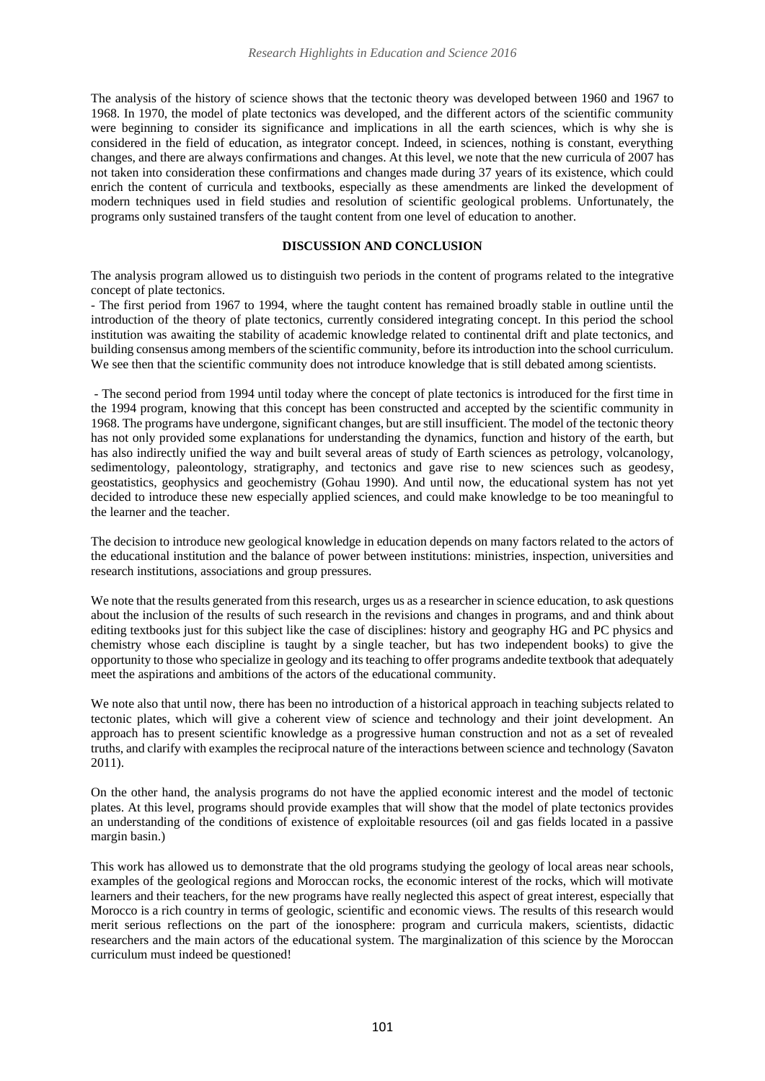The analysis of the history of science shows that the tectonic theory was developed between 1960 and 1967 to 1968. In 1970, the model of plate tectonics was developed, and the different actors of the scientific community were beginning to consider its significance and implications in all the earth sciences, which is why she is considered in the field of education, as integrator concept. Indeed, in sciences, nothing is constant, everything changes, and there are always confirmations and changes. At this level, we note that the new curricula of 2007 has not taken into consideration these confirmations and changes made during 37 years of its existence, which could enrich the content of curricula and textbooks, especially as these amendments are linked the development of modern techniques used in field studies and resolution of scientific geological problems. Unfortunately, the programs only sustained transfers of the taught content from one level of education to another.

### **DISCUSSION AND CONCLUSION**

The analysis program allowed us to distinguish two periods in the content of programs related to the integrative concept of plate tectonics.

- The first period from 1967 to 1994, where the taught content has remained broadly stable in outline until the introduction of the theory of plate tectonics, currently considered integrating concept. In this period the school institution was awaiting the stability of academic knowledge related to continental drift and plate tectonics, and building consensus among members of the scientific community, before its introduction into the school curriculum. We see then that the scientific community does not introduce knowledge that is still debated among scientists.

- The second period from 1994 until today where the concept of plate tectonics is introduced for the first time in the 1994 program, knowing that this concept has been constructed and accepted by the scientific community in 1968. The programs have undergone, significant changes, but are still insufficient. The model of the tectonic theory has not only provided some explanations for understanding the dynamics, function and history of the earth, but has also indirectly unified the way and built several areas of study of Earth sciences as petrology, volcanology, sedimentology, paleontology, stratigraphy, and tectonics and gave rise to new sciences such as geodesy, geostatistics, geophysics and geochemistry (Gohau 1990). And until now, the educational system has not yet decided to introduce these new especially applied sciences, and could make knowledge to be too meaningful to the learner and the teacher.

The decision to introduce new geological knowledge in education depends on many factors related to the actors of the educational institution and the balance of power between institutions: ministries, inspection, universities and research institutions, associations and group pressures.

We note that the results generated from this research, urges us as a researcher in science education, to ask questions about the inclusion of the results of such research in the revisions and changes in programs, and and think about editing textbooks just for this subject like the case of disciplines: history and geography HG and PC physics and chemistry whose each discipline is taught by a single teacher, but has two independent books) to give the opportunity to those who specialize in geology and its teaching to offer programs andedite textbook that adequately meet the aspirations and ambitions of the actors of the educational community.

We note also that until now, there has been no introduction of a historical approach in teaching subjects related to tectonic plates, which will give a coherent view of science and technology and their joint development. An approach has to present scientific knowledge as a progressive human construction and not as a set of revealed truths, and clarify with examples the reciprocal nature of the interactions between science and technology (Savaton 2011).

On the other hand, the analysis programs do not have the applied economic interest and the model of tectonic plates. At this level, programs should provide examples that will show that the model of plate tectonics provides an understanding of the conditions of existence of exploitable resources (oil and gas fields located in a passive margin basin.)

This work has allowed us to demonstrate that the old programs studying the geology of local areas near schools, examples of the geological regions and Moroccan rocks, the economic interest of the rocks, which will motivate learners and their teachers, for the new programs have really neglected this aspect of great interest, especially that Morocco is a rich country in terms of geologic, scientific and economic views. The results of this research would merit serious reflections on the part of the ionosphere: program and curricula makers, scientists, didactic researchers and the main actors of the educational system. The marginalization of this science by the Moroccan curriculum must indeed be questioned!